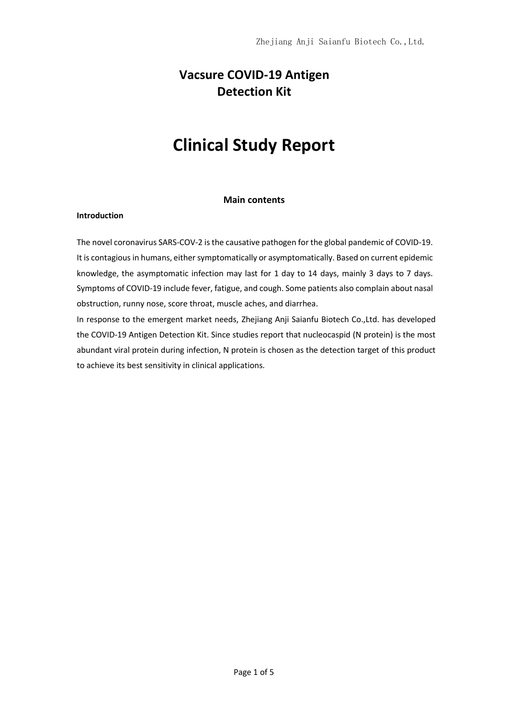# **Vacsure COVID-19 Antigen Detection Kit**

# **Clinical Study Report**

# **Main contents**

### **Introduction**

The novel coronavirus SARS-COV-2 is the causative pathogen for the global pandemic of COVID-19. It is contagious in humans, either symptomatically or asymptomatically. Based on current epidemic knowledge, the asymptomatic infection may last for 1 day to 14 days, mainly 3 days to 7 days. Symptoms of COVID-19 include fever, fatigue, and cough. Some patients also complain about nasal obstruction, runny nose, score throat, muscle aches, and diarrhea.

In response to the emergent market needs, Zhejiang Anji Saianfu Biotech Co.,Ltd. has developed the COVID-19 Antigen Detection Kit. Since studies report that nucleocaspid (N protein) is the most abundant viral protein during infection, N protein is chosen as the detection target of this product to achieve its best sensitivity in clinical applications.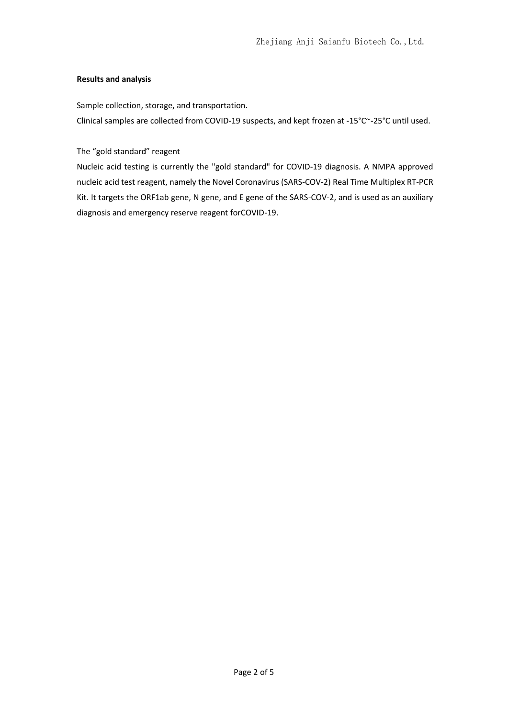# **Results and analysis**

Sample collection, storage, and transportation.

Clinical samples are collected from COVID-19 suspects, and kept frozen at -15°C~-25°C until used.

The "gold standard" reagent

Nucleic acid testing is currently the "gold standard" for COVID-19 diagnosis. A NMPA approved nucleic acid test reagent, namely the Novel Coronavirus (SARS-COV-2) Real Time Multiplex RT-PCR Kit. It targets the ORF1ab gene, N gene, and E gene of the SARS-COV-2, and is used as an auxiliary diagnosis and emergency reserve reagent forCOVID-19.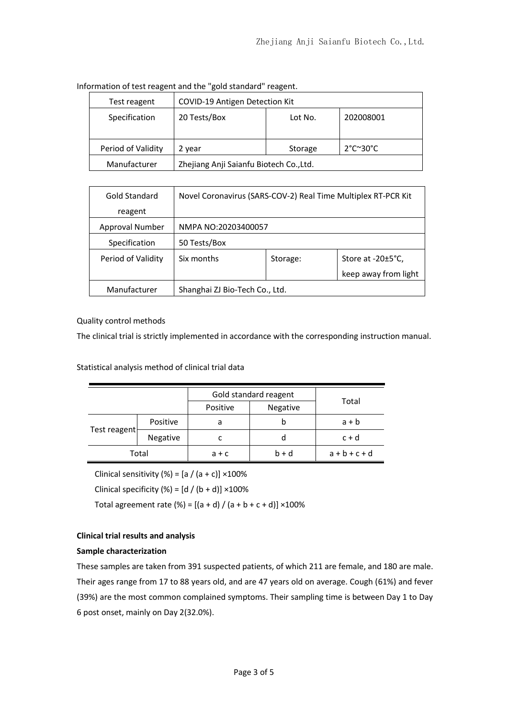| Test reagent       | COVID-19 Antigen Detection Kit          |         |                                      |  |
|--------------------|-----------------------------------------|---------|--------------------------------------|--|
| Specification      | 20 Tests/Box                            | Lot No. | 202008001                            |  |
| Period of Validity | 2 year                                  | Storage | $2^{\circ}$ C $\sim$ 30 $^{\circ}$ C |  |
| Manufacturer       | Zhejiang Anji Saianfu Biotech Co., Ltd. |         |                                      |  |

Information of test reagent and the "gold standard" reagent.

| Gold Standard      | Novel Coronavirus (SARS-COV-2) Real Time Multiplex RT-PCR Kit |          |                               |
|--------------------|---------------------------------------------------------------|----------|-------------------------------|
| reagent            |                                                               |          |                               |
| Approval Number    | NMPA NO:20203400057                                           |          |                               |
| Specification      | 50 Tests/Box                                                  |          |                               |
| Period of Validity | Six months                                                    | Storage: | Store at $-20\pm5^{\circ}$ C, |
|                    |                                                               |          | keep away from light          |
| Manufacturer       | Shanghai ZJ Bio-Tech Co., Ltd.                                |          |                               |

# Quality control methods

The clinical trial is strictly implemented in accordance with the corresponding instruction manual.

Statistical analysis method of clinical trial data

|              |          | Gold standard reagent |          |                 |
|--------------|----------|-----------------------|----------|-----------------|
|              |          | Positive              | Negative | Total           |
| Test reagent | Positive | a                     | b        | $a + b$         |
|              | Negative | c                     |          | $c + d$         |
| Total        |          | $a + c$               | $b + d$  | $a + b + c + d$ |

Clinical sensitivity (%) =  $[a / (a + c)] \times 100\%$ 

Clinical specificity (%) =  $[d / (b + d)] \times 100\%$ 

Total agreement rate (%) =  $[(a + d) / (a + b + c + d)] \times 100\%$ 

# **Clinical trial results and analysis**

#### **Sample characterization**

These samples are taken from 391 suspected patients, of which 211 are female, and 180 are male. Their ages range from 17 to 88 years old, and are 47 years old on average. Cough (61%) and fever (39%) are the most common complained symptoms. Their sampling time is between Day 1 to Day 6 post onset, mainly on Day 2(32.0%).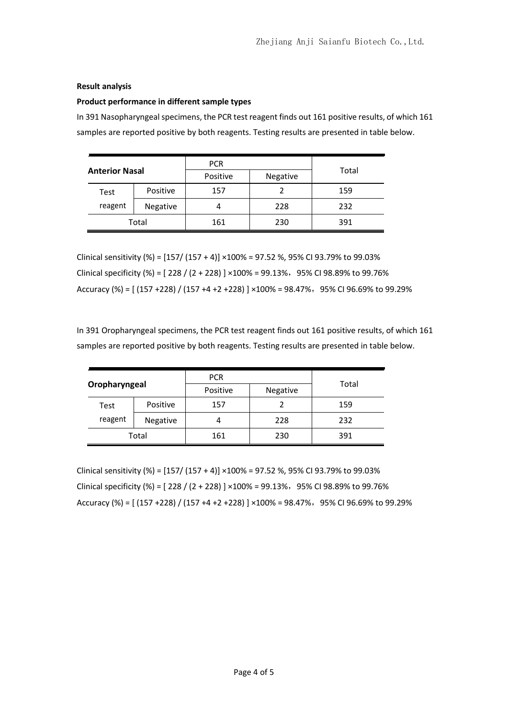### **Result analysis**

#### **Product performance in different sample types**

In 391 Nasopharyngeal specimens, the PCR test reagent finds out 161 positive results, of which 161 samples are reported positive by both reagents. Testing results are presented in table below.

| <b>Anterior Nasal</b> |          | <b>PCR</b> |          |       |
|-----------------------|----------|------------|----------|-------|
|                       |          | Positive   | Negative | Total |
| Test                  | Positive | 157        |          | 159   |
| reagent               | Negative |            | 228      | 232   |
| Total                 |          | 161        | 230      | 391   |

Clinical sensitivity (%) = [157/ (157 + 4)] ×100% = 97.52 %, 95% CI 93.79% to 99.03% Clinical specificity (%) =  $[228 / (2 + 228)] \times 100\% = 99.13\%$ , 95% CI 98.89% to 99.76% Accuracy (%) =  $[(157 + 228) / (157 + 4 + 2 + 228)] \times 100\% = 98.47\%$ , 95% CI 96.69% to 99.29%

In 391 Oropharyngeal specimens, the PCR test reagent finds out 161 positive results, of which 161 samples are reported positive by both reagents. Testing results are presented in table below.

| Oropharyngeal |          | <b>PCR</b><br>Positive | Negative | Total |
|---------------|----------|------------------------|----------|-------|
| Test          | Positive | 157                    |          | 159   |
| reagent       | Negative | 4                      | 228      | 232   |
| Total         |          | 161                    | 230      | 391   |

Clinical sensitivity (%) =  $[157/(157 + 4)] \times 100\% = 97.52$  %, 95% CI 93.79% to 99.03% Clinical specificity (%) =  $[228 / (2 + 228)] \times 100\% = 99.13\%$ , 95% CI 98.89% to 99.76% Accuracy (%) =  $[(157 + 228) / (157 + 4 + 2 + 228)] \times 100\% = 98.47\%$ , 95% CI 96.69% to 99.29%